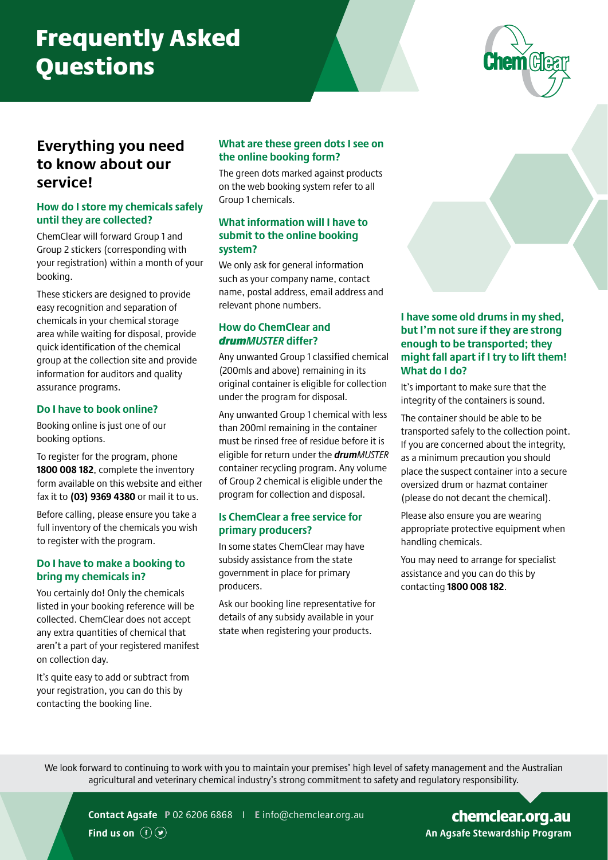# Frequently Asked **Questions**



# **Everything you need to know about our service!**

# **How do I store my chemicals safely until they are collected?**

ChemClear will forward Group 1 and Group 2 stickers (corresponding with your registration) within a month of your booking.

These stickers are designed to provide easy recognition and separation of chemicals in your chemical storage area while waiting for disposal, provide quick identification of the chemical group at the collection site and provide information for auditors and quality assurance programs.

#### **Do I have to book online?**

Booking online is just one of our booking options.

To register for the program, phone **1800 008 182**, complete the inventory form available on this website and either fax it to **(03) 9369 4380** or mail it to us.

Before calling, please ensure you take a full inventory of the chemicals you wish to register with the program.

#### **Do I have to make a booking to bring my chemicals in?**

You certainly do! Only the chemicals listed in your booking reference will be collected. ChemClear does not accept any extra quantities of chemical that aren't a part of your registered manifest on collection day.

It's quite easy to add or subtract from your registration, you can do this by contacting the booking line.

#### **What are these green dots I see on the online booking form?**

The green dots marked against products on the web booking system refer to all Group 1 chemicals.

#### **What information will I have to submit to the online booking system?**

We only ask for general information such as your company name, contact name, postal address, email address and relevant phone numbers.

# **How do ChemClear and**  *drumMUSTER* **differ?**

Any unwanted Group 1 classified chemical (200mls and above) remaining in its original container is eligible for collection under the program for disposal.

Any unwanted Group 1 chemical with less than 200ml remaining in the container must be rinsed free of residue before it is eligible for return under the *drumMUSTER* container recycling program. Any volume of Group 2 chemical is eligible under the program for collection and disposal.

#### **Is ChemClear a free service for primary producers?**

In some states ChemClear may have subsidy assistance from the state government in place for primary producers.

Ask our booking line representative for details of any subsidy available in your state when registering your products.

#### **I have some old drums in my shed, but I'm not sure if they are strong enough to be transported; they might fall apart if I try to lift them! What do I do?**

It's important to make sure that the integrity of the containers is sound.

The container should be able to be transported safely to the collection point. If you are concerned about the integrity, as a minimum precaution you should place the suspect container into a secure oversized drum or hazmat container (please do not decant the chemical).

Please also ensure you are wearing appropriate protective equipment when handling chemicals.

You may need to arrange for specialist assistance and you can do this by contacting **1800 008 182**.

We look forward to continuing to work with you to maintain your premises' high level of safety management and the Australian agricultural and veterinary chemical industry's strong commitment to safety and regulatory responsibility.



**Contact Agsafe P** 02 6206 6868 I **E** [info@chemclear.org.au](mailto:info%40chemclear.org.au?subject=)

AGSAFE.ORG.AU **An Agsafe Stewardship Program** [chemclear.org.au](https://www.chemclear.org.au/)